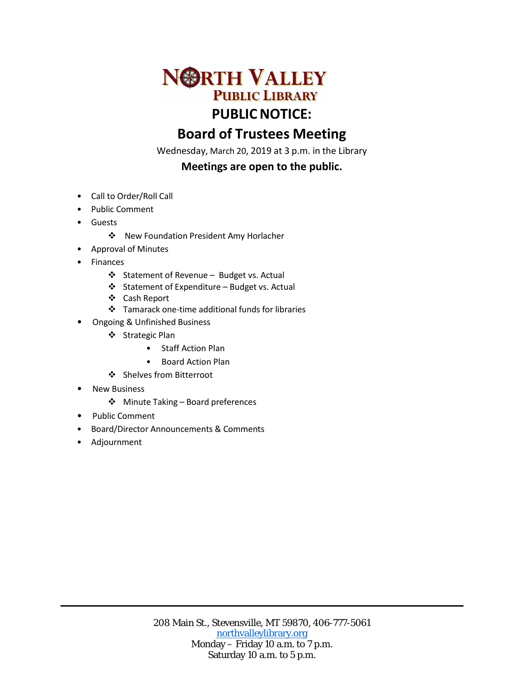

## **Board of Trustees Meeting**

Wednesday, March 20, 2019 at 3 p.m. in the Library

## **Meetings are open to the public.**

- Call to Order/Roll Call
- Public Comment
- Guests
	- New Foundation President Amy Horlacher
- Approval of Minutes
- **Finances** 
	- Statement of Revenue Budget vs. Actual
	- Statement of Expenditure Budget vs. Actual
	- Cash Report
	- Tamarack one-time additional funds for libraries
	- Ongoing & Unfinished Business
		- ❖ Strategic Plan
			- Staff Action Plan
			- Board Action Plan
		- ❖ Shelves from Bitterroot
- **New Business** 
	- Minute Taking Board preferences
- Public Comment
- Board/Director Announcements & Comments
- Adjournment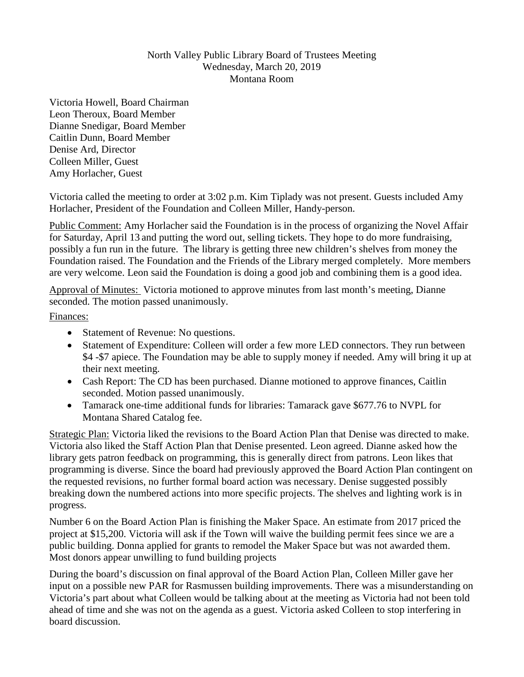## North Valley Public Library Board of Trustees Meeting Wednesday, March 20, 2019 Montana Room

Victoria Howell, Board Chairman Leon Theroux, Board Member Dianne Snedigar, Board Member Caitlin Dunn, Board Member Denise Ard, Director Colleen Miller, Guest Amy Horlacher, Guest

Victoria called the meeting to order at 3:02 p.m. Kim Tiplady was not present. Guests included Amy Horlacher, President of the Foundation and Colleen Miller, Handy-person.

Public Comment: Amy Horlacher said the Foundation is in the process of organizing the Novel Affair for Saturday, April 13 and putting the word out, selling tickets. They hope to do more fundraising, possibly a fun run in the future. The library is getting three new children's shelves from money the Foundation raised. The Foundation and the Friends of the Library merged completely. More members are very welcome. Leon said the Foundation is doing a good job and combining them is a good idea.

Approval of Minutes: Victoria motioned to approve minutes from last month's meeting, Dianne seconded. The motion passed unanimously.

Finances:

- Statement of Revenue: No questions.
- Statement of Expenditure: Colleen will order a few more LED connectors. They run between \$4 -\$7 apiece. The Foundation may be able to supply money if needed. Amy will bring it up at their next meeting.
- Cash Report: The CD has been purchased. Dianne motioned to approve finances, Caitlin seconded. Motion passed unanimously.
- Tamarack one-time additional funds for libraries: Tamarack gave \$677.76 to NVPL for Montana Shared Catalog fee.

Strategic Plan: Victoria liked the revisions to the Board Action Plan that Denise was directed to make. Victoria also liked the Staff Action Plan that Denise presented. Leon agreed. Dianne asked how the library gets patron feedback on programming, this is generally direct from patrons. Leon likes that programming is diverse. Since the board had previously approved the Board Action Plan contingent on the requested revisions, no further formal board action was necessary. Denise suggested possibly breaking down the numbered actions into more specific projects. The shelves and lighting work is in progress.

Number 6 on the Board Action Plan is finishing the Maker Space. An estimate from 2017 priced the project at \$15,200. Victoria will ask if the Town will waive the building permit fees since we are a public building. Donna applied for grants to remodel the Maker Space but was not awarded them. Most donors appear unwilling to fund building projects

During the board's discussion on final approval of the Board Action Plan, Colleen Miller gave her input on a possible new PAR for Rasmussen building improvements. There was a misunderstanding on Victoria's part about what Colleen would be talking about at the meeting as Victoria had not been told ahead of time and she was not on the agenda as a guest. Victoria asked Colleen to stop interfering in board discussion.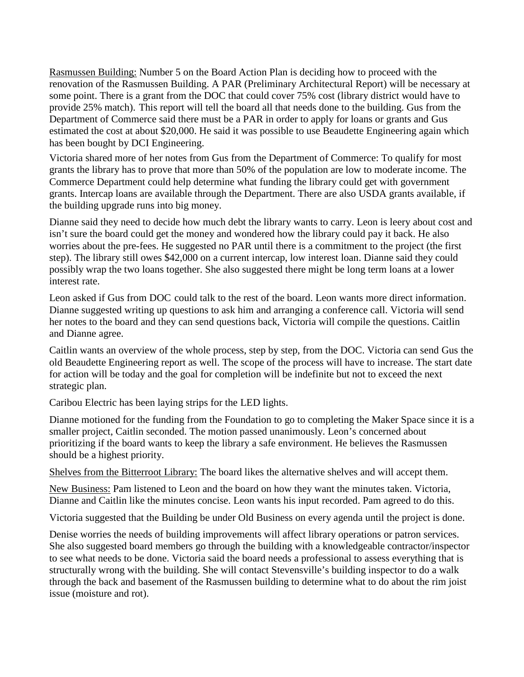Rasmussen Building: Number 5 on the Board Action Plan is deciding how to proceed with the renovation of the Rasmussen Building. A PAR (Preliminary Architectural Report) will be necessary at some point. There is a grant from the DOC that could cover 75% cost (library district would have to provide 25% match). This report will tell the board all that needs done to the building. Gus from the Department of Commerce said there must be a PAR in order to apply for loans or grants and Gus estimated the cost at about \$20,000. He said it was possible to use Beaudette Engineering again which has been bought by DCI Engineering.

Victoria shared more of her notes from Gus from the Department of Commerce: To qualify for most grants the library has to prove that more than 50% of the population are low to moderate income. The Commerce Department could help determine what funding the library could get with government grants. Intercap loans are available through the Department. There are also USDA grants available, if the building upgrade runs into big money.

Dianne said they need to decide how much debt the library wants to carry. Leon is leery about cost and isn't sure the board could get the money and wondered how the library could pay it back. He also worries about the pre-fees. He suggested no PAR until there is a commitment to the project (the first step). The library still owes \$42,000 on a current intercap, low interest loan. Dianne said they could possibly wrap the two loans together. She also suggested there might be long term loans at a lower interest rate.

Leon asked if Gus from DOC could talk to the rest of the board. Leon wants more direct information. Dianne suggested writing up questions to ask him and arranging a conference call. Victoria will send her notes to the board and they can send questions back, Victoria will compile the questions. Caitlin and Dianne agree.

Caitlin wants an overview of the whole process, step by step, from the DOC. Victoria can send Gus the old Beaudette Engineering report as well. The scope of the process will have to increase. The start date for action will be today and the goal for completion will be indefinite but not to exceed the next strategic plan.

Caribou Electric has been laying strips for the LED lights.

Dianne motioned for the funding from the Foundation to go to completing the Maker Space since it is a smaller project, Caitlin seconded. The motion passed unanimously. Leon's concerned about prioritizing if the board wants to keep the library a safe environment. He believes the Rasmussen should be a highest priority.

Shelves from the Bitterroot Library: The board likes the alternative shelves and will accept them.

New Business: Pam listened to Leon and the board on how they want the minutes taken. Victoria, Dianne and Caitlin like the minutes concise. Leon wants his input recorded. Pam agreed to do this.

Victoria suggested that the Building be under Old Business on every agenda until the project is done.

Denise worries the needs of building improvements will affect library operations or patron services. She also suggested board members go through the building with a knowledgeable contractor/inspector to see what needs to be done. Victoria said the board needs a professional to assess everything that is structurally wrong with the building. She will contact Stevensville's building inspector to do a walk through the back and basement of the Rasmussen building to determine what to do about the rim joist issue (moisture and rot).